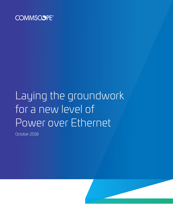

# Laying the groundwork for a new level of Power over Ethernet

October 2018

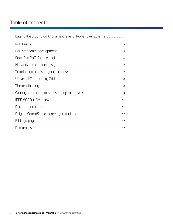# Table of contents

| Laying the groundwork for a new level of Power over Ethernet3 |  |
|---------------------------------------------------------------|--|
|                                                               |  |
|                                                               |  |
|                                                               |  |
|                                                               |  |
|                                                               |  |
|                                                               |  |
|                                                               |  |
|                                                               |  |
|                                                               |  |
|                                                               |  |
|                                                               |  |
|                                                               |  |
|                                                               |  |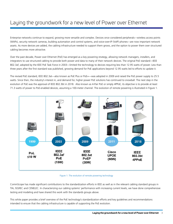### Laying the groundwork for a new level of Power over Ethernet

Enterprise networks continue to expand, growing more versatile and complex. Devices once considered peripherals—wireless access points (WAPs), security network cameras, building automation and control systems, and voice-over-IP (VoIP) phones—are now important network assets. As more devices are added, the cabling infrastructure needed to support them grows, and the option to power them over structured cabling becomes more attractive.

Over the past decade, Power over Ethernet (PoE) has emerged as a key powering strategy, allowing network managers, installers, and integrators to use structured cabling to provide both power and data to many of their network devices. The original PoE standard—IEEE 802.3af, adopted by the IEEE PoE Task Force in 2003—limited the technology to devices requiring less than 12.95 watts of power. Less than three years after the first standard was published, growing demand for PoE applications beyond 12.95 watts led to efforts to update it.

The revised PoE standard, IEEE 802.3at—also known as PoE Plus or PoE+—was adopted in 2009 and raised the PoE power supply to 25.5 watts. Since then, the industry's interest in, and demand for, higher power PoE solutions has continued to snowball. The next step in the evolution of PoE was the approval of IEEE 802.3bt in 2018. Also known as 4-Pair PoE or simply 4PPoE, its objective is to provide at least 71.3 watts of power to PoE-enabled devices, assuming a 100-meter channel. The evolution of remote powering is illustrated in Figure 1.



Figure 1: The evolution of remote powering technology

CommScope has made significant contributions to the standardization efforts in IEEE as well as in the relevant cabling standard groups in TIA, ISO/IEC and CENELEC. In characterizing our cabling systems' performance with increasing current levels, we have done comprehensive testing and modeling and have shared this work with the standards groups above.

This white paper provides a brief overview of the PoE technology's standardization efforts and key guidelines and recommendations intended to ensure that the cabling infrastructure is capable of supporting the PoE evolution.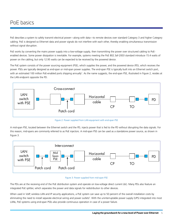### PoE basics

PoE describes a system to safely transmit electrical power—along with data—to remote devices over standard Category 3 and higher Category cabling. PoE is designed so Ethernet data and power signals do not interfere with each other, thereby enabling simultaneous transmission without signal disruption.

PoE works by converting the mains power supply into a low-voltage supply, then transmitting the power over structured cabling to PoEenabled devices. Some power dissipation is inevitable. For example, systems meeting the PoE 802.3af-2003 standard introduce 15.4 watts of power on the cabling, but only 12.95 watts can be expected to be received by the powered device.

The PoE system consists of the power sourcing equipment (PSE), which supplies the power, and the powered device (PD), which receives the power. PSEs are typically designed as end-span or mid-span power supplies. The end-span PSE is typically built into an Ethernet switch port, with an estimated 100 million PoE-enabled ports shipping annually<sup>1</sup>. As the name suggests, the end-span PSE, illustrated in Figure 2, resides at the LAN endpoint opposite the PD.



Figure 2: Power supplied from LAN equipment with end-span PSE

A mid-span PSE, located between the Ethernet switch and the PD, injects power that is fed to the PD without disrupting the data signals. For this reason, mid-spans are commonly referred to as PoE injectors. A mid-span PSE can be used as a standalone power source, as shown in Figure 3.



#### Figure 3: Power supplied from mid-span PSE

The PDs are at the receiving end of the PoE distribution system and operate on low-voltage direct current (dc). Many PDs also feature an integrated PoE splitter, which separates the power and data signals for redistribution to other devices.

When used in VoIP, wireless LAN and IP security applications, a PoE system can save up to 50 percent of the overall installation costs by eliminating the need to install separate electrical wiring and power outlets<sup>2</sup>. With the uninterruptable power supply (UPS) integrated into most LANs, PoE systems using end-span PSEs also provide continuous operation in case of a power failure.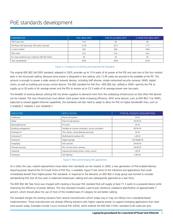## PoE standards development

| <b>PARAMETER</b>                                        | POE (802.3AF) | <b>POE PLUS (802.3AT)</b> | 4-PAIR POE (802.3BT) |
|---------------------------------------------------------|---------------|---------------------------|----------------------|
| PSE Power (W)                                           | 15.4          | 30                        | 90                   |
| PD Power (W) (assuming 100-meter channel)               | 12.95         | 25.5                      | 71.3                 |
| Current (mAdc)                                          | 350           | 600                       | 1920                 |
| Pairs used                                              | 2-pr          | 2-pr                      | 4-pr                 |
| DC loop resistence per conductor ( $\Omega$ /100-meter) | 40            | 25                        | 25                   |
| Year standardized                                       | 2003          | 2009                      | 2018                 |

#### Figure 4: Comparison of existing and proposed PoE standards

The original IEEE 802.3af-2003 standard, adopted in 2003, provides up to 15.4 watts of dc power at the PSE and uses two of the four twisted pairs in the structured cabling. Because some power is dissipated in the cabling, only 12.95 watts are assured to be available at the PD. This amount is enough to power a wide variety of network devices, including VoIP phones, simple networked security cameras, WAPs, digital clocks, as well as building and access control devices. The IEEE standard for PoE Plus—IEEE 802.3at, ratified in 2009—permits the PSE to supply up to 30 watts of dc average power and the PDs to receive up to 25.5 watts of dc average power over two pairs.

The breadth of existing devices utilizing PoE has driven suppliers to demand more from the underlying infrastructure so that other PoE devices can be created. The new infrastructure must deliver more power while increasing efficiency. With some devices, such as IEEE 802.11ac WAPs, expected to exceed gigabit Ethernet capabilities, the standards will also need to adapt to allow for PoE on higher bandwidth links, such as 2.5GBASE-T, 5GBASE-T and 10GBASE-T.

| <b>INDUSTRY</b>     | <b>APPLICATION</b>                                  | <b>TYPICAL POWER CONSUMPTION</b> |
|---------------------|-----------------------------------------------------|----------------------------------|
| Healthcare          | Nurse call systems                                  | 50 W                             |
| Retail              | Point-of-sale devices                               | 30-60 W                          |
| Banking/financial   | IP turrets                                          | 45 W                             |
| Building management | Variable air volume controllers, access controllers | 40-50 W                          |
| Enterprise IT       | Thin clients, virtual desktop terminals             | 50 W                             |
| Enterprise IT       | Multichannel wireless APs                           | $>30$ W                          |
| Enterprise          | Digital signage                                     | >30 W≥85 W                       |
| Hospitality         | PoE switches                                        | 45-60 W                          |
| Premises security   | Pan, tilt and zoom cameras                          | 30-60 W                          |
| Industrial          | Industrial brushless drives, motor control          | $>30$ W                          |
| Enterprise          | LED lighting                                        | 6-60 W                           |

#### Figure 5: New and emerging PoE applications

As is often the case, market requirements move faster than standards can be created. In 2009, a new generation of PoE-enabled devices, requiring power beyond the 25.5-watt limits of PoE Plus, is available. Figure 5 lists some of the industries and applications that could immediately benefit from higher-power PoE standards. In response to the demand, an IEEE 802.3 study group was formed to consider standardizing PoE over all four pairs in balanced twisted-pair cabling and was subsequently approved as a task force.

The IEEE 802.3bt Task Force was charged with creating a four-pair PoE standard that will supply at least 71.3 watts to a powered device while improving the efficiency of power delivery. The new standard includes a pair-to-pair resistance unbalance specification of approximately 7 percent, which should allow the use of most of the installed base of Category 5e and better cabling.

The standard merges the existing solutions from several manufacturers (which today may or may not follow) into a standards-based implementation. These manufacturers are already offering solutions with higher capacity power to support emerging applications that need extra power today. Examples include Cisco's Universal PoE (UPoE), which extends the IEEE 802.3 PoE+ standard to 60 watts per port.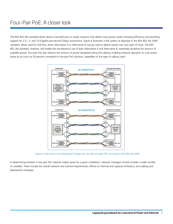### Four-Pair PoE: A closer look

The IEEE 802.3bt standard allows device manufacturers to create solutions that deliver more power while increasing efficiency and providing support for 2.5-, 5- and 10-Gigabits-per-second (Gbps) connections. Figure 6 illustrates a PoE system as depicted in the IEEE 802.3at 2009 standard. When used for PoE Plus, either Alternative A or Alternative B may be used to deliver power over two pairs of wires. The IEEE 802.3bt standard, however, will enable the simultaneous use of both Alternative A and Alternative B, essentially doubling the amount of available power. Four-pair PoE also reduces the amount of power dissipated along the cabling, enabling network operators to curb power losses by as much as 50 percent compared to two-pair PoE solutions, regardless of the type of cabling used.<sup>3</sup>



Figure 6: Alternative A and Alternative B designs for use with end-span PSE, according to IEEE 802.3at-2009

In determining whether a four-pair PoE network makes sense for a given installation, network managers should consider a wide number of variables. These include the overall network and channel requirements, effects on thermal and capacity limitations, and cabling and deployment strategies.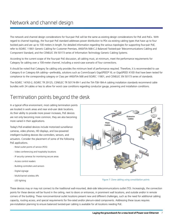The network and channel design considerations for four-pair PoE will be the same as existing design considerations for PoE and PoE+. With regard to channel topology, the four-pair PoE standard addresses power distribution to PDs via existing cabling types that have up to four twisted pairs and are up to 100 meters in length. For detailed information regarding the various topologies for supporting four-pair PoE, refer to ISO/IEC 11801 Generic Cabling for Customer Premises, ANSI/TIA-568-C.2 Balanced Twisted-pair Telecommunications Cabling and Component Standard, and the CENELEC EN 50173 series of Information Technology Generic Cabling Systems.

According to the current scope of the four-pair PoE discussion, all cabling must, at minimum, meet the performance requirements for Category 5e cabling over a 100-meter channel, including a worst-case scenario of four connections.

It should be noted that Category 5e cabling only provides the minimum level of performance required. Therefore, it is recommended to use Category 6 or Category 6A cabling—preferably, solutions such as CommScope's GigaSPEED® XL or GigaSPEED X10D that have been tested for compliance to the corresponding category or Class per ANSI/TIA-568 and ISO/IEC 11801, and CENELEC EN 50173 series of standards.

The ISO/IEC 14763-2, ISO/IEC TR 29125, CENELEC TR 50174-99-1 and the TIA-TSB-184-A cabling installation standards recommend cable bundles with 24 cables or less to allow for worst case conditions regarding conductor gauge, powering and installation conditions.

### Termination points beyond the desk

In a typical office environment, most cabling termination points are located in work areas and near end-user desk locations. As their ability to provide more power increases, PoE devices are not only becoming more common, they are also becoming more varied in their applications.

Today's PoE-enabled devices include motorized surveillance cameras, video phones, HD displays, and low-powered intelligent building devices like controllers, sensors, and actuators. Consider the placement of some of the following PoE applications.

- · Retail outlet points of service (POS)
- · Video conferencing and hospitality locations
- · IP security cameras for monitoring secure areas
- · Access control readers
- · Building controllers and sensors
- · Digital signage
- · Multichannel wireless APs
- · LED lighting



Figure 7: Zone cabling using consolidation points

These devices may or may not connect to the traditional wall-mounted, desk-side telecommunications outlet (TO). Increasingly, the connection points for these devices will be found in the ceiling, next to doors or entrances, in prominent wall locations, and outside and/or in remote corners of the building. These nonconventional outlet locations present new and different challenges, such as the need for additional cabling capacity, routing access, and special requirements for fire-rated and/or plenum-rated components. Addressing these issues requires pre-installation planning to ensure balanced twisted-pair cabling is available for all locations needing PoE.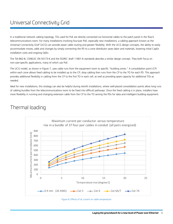### Universal Connectivity Grid

In a traditional network cabling topology, TOs used for PoE are directly connected via horizontal cables to the patch panel in the floor's telecommunications room. For many installations involving four-pair PoE, especially new installations, a cabling approach known as the Universal Connectivity Grid<sup>4</sup> (UCG) can provide easier cable routing and greater flexibility. With the UCG design concepts, the ability to easily accommodate moves, adds and changes by simply connecting the PD to a zone distributor saves labor and materials, lowering initial CapEx installation costs and ongoing OpEx.

The TIA-862-B, CENELEC EN 50173-6 and the ISO/IEC draft 11801-6 standards describe a similar design concept. They both focus on non-user-specific applications, many of which use PoE.

The UCG model, as shown in Figure 7, uses cable runs from the equipment room to specific "building zones." A consolidation point (CP) within each zone allows fixed cabling to be installed up to the CP; drop cabling then runs from the CP to the TO for each PD. This approach provides additional flexibility in cabling from the CP to the first TO in each cell, as well as providing spare capacity for additional TOs as needed.

Ideal for new installations, this strategy can also be helpful during retrofit installations, where well-placed consolidation points allow long runs of cabling bundles from the telecommunications room to be fixed into difficult pathways. Once the fixed cabling is in place, installers have more flexibility in running and changing extension cable from the CP to the TO serving the PDs for data and intelligent building equipment.

### Thermal loading



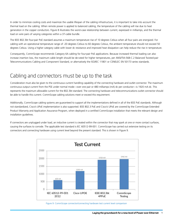In order to minimize cooling costs and maximize the usable lifespan of the cabling infrastructure, it is important to take into account the thermal load on the cabling. When remote power is applied to balanced cabling, the temperature of the cabling will rise due to heat generation in the copper conductors. Figure 8 illustrates the worst-case relationship between current, expressed in milliamps, and the thermal load on wire pairs of varying categories within a 37-cable bundle.

The IEEE 802.3bt four-pair PoE standard assumes a maximum temperature rise of 10 degrees Celsius when all four pairs are energized. For cabling with an operational temperature range of -20 degrees Celsius to 60 degrees Celsius, the ambient temperature should not exceed 50 degrees Celsius. Using a higher category cable with lower dc resistance and improved heat dissipation can help reduce the rise in temperature.

Consequently, CommScope recommends Category 6A cabling for four-pair PoE applications. Because increased thermal loading can also increase insertion loss, the maximum cable length should be de-rated for higher temperatures, per ANSI/TIA-568-C.2 Balanced Twisted-pair Telecommunications Cabling and Component Standard, or alternatively the ISO/IEC 11801 or CENELEC EN 50173 series standards.

#### Cabling and connectors must be up to the task

Consideration must also be given to the continuous current handling capability of the connecting hardware and outlet connector. The maximum continuous output current from the PSE under normal mode—over one pair or 480 milliamps (mA) dc per conductor—is 1920 mA dc. This represents the maximum allowable current for the 802.3bt standard. The connecting hardware and telecommunications outlet connector should be able to handle this current. CommScope cabling solutions meet or exceed this requirement.

Additionally, CommScope cabling systems are guaranteed to support all the implementations defined in all of the IEEE PoE standards. Although not standardized, Cisco's UPoE implementation is also supported. IEEE 802.3 PoE and Cisco's UPoE are covered by the CommScope Extended Product Warranty and Application Assurance Program, when deployed in a certified CommScope installation that meets the relevant design and installation guidelines.

If connectors are unplugged under load, an inductive current is created within the connector that may spark at one or more contact surfaces, causing the surfaces to corrode. The applicable test standard is IEC 60512-99-001. CommScope has carried out extensive testing on its connectors and connecting hardware using current level beyond the present standard. This is shown in Figure 9.



Figure 9: CommScope connector/connecting hardware test current level comparison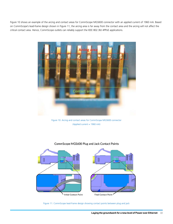Figure 10 shows an example of the arcing and contact areas for CommScope MGS600 connector with an applied current of 1960 mA. Based on CommScope's lead-frame design shown in Figure 11, the arcing area is far away from the contact area and the arcing will not affect the critical contact area. Hence, CommScope outlets can reliably support the IEEE 802.3bt 4PPoE applications.



Figure 10: Arcing and contact areas for CommScope MGS600 connector (Applied current = 1960 mA)



#### CommScope MGS600 Plug and Jack Contact Points

Figure 11: CommScope lead-frame design showing contact points between plug and jack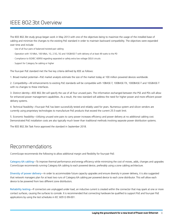### IEEE 802.3bt Overview

The IEEE 802.3bt study group began work in May 2013 with one of the objectives being to maximize the usage of the installed base of cabling and minimize the changes to the existing PoE standard in order to maintain backward compatibility. The objectives were expanded over time and include:

- · Use of all four pairs of balanced twisted-pair cabling
- · Operation with 10 Mb/s, 100 Mb/s, 1G, 2.5G, 5G and 10GBASE-T with delivery of at least 49 watts to the PD
- · Compliance to ISO/IEC 60950 regarding separated or safety extra low voltage (SELV) circuits
- · Support for Category 5e cabling or higher

The four-pair PoE standard met the five key criteria defined by IEEE as follows:

1. Broad market potential—PoE market analysts estimate the size of the market today at 100 million powered devices worldwide.

2. Compatibility—All enhancements to existing PoE standards will be compatible with 10BASE-T, 100BASE-TX, 1000BASE-T and 10GBASE-T with no changes to these interfaces.

3. Distinct identity—IEEE 802.3bt will specify the use of all four unused pairs. The information exchanged between the PSE and PDs will allow for enhanced power management capabilities. As a result, the new standard will address the need for higher power and more efficient power delivery systems.

4. Technical feasibility—Four-pair PoE has been successfully tested and reliably used for years. Numerous system and silicon vendors are currently using proprietary technologies to manufacture PoE products that exceed the current 25.5-watt limit.

5. Economic feasibility—Utilizing unused wire pairs to carry power increases efficiency and power delivery at no additional cabling cost. Demonstrated PoE installation costs are also typically much lower than traditional methods involving separate power distribution systems.

The IEEE 802.3bt Task Force approved the standard in September 2018.

#### Recommendations

CommScope recommends the following to allow additional margin and flexibility for four-pair PoE:

Category 6A cabling—To improve thermal performance and energy efficiency while minimizing the cost of moves, adds, changes and upgrades CommScope recommends running Category 6A cabling to each powered device, preferably using a zone cabling architecture.

Diversity of power delivery—In order to accommodate future capacity upgrades and ensure diversity in power delivery, it is also suggested that network managers plan for at least two runs of Category 6A cabling per powered device to each zone distributor. This will allow each device to be powered from two different zone distributors.

Reliability testing—If connectors are unplugged under load, an inductive current is created within the connector that may spark at one or more contact surfaces, causing the surfaces to corrode. It is recommended that connecting hardware be qualified to support PoE and four-pair PoE applications by using the test schedules in IEC 60512-99-001.